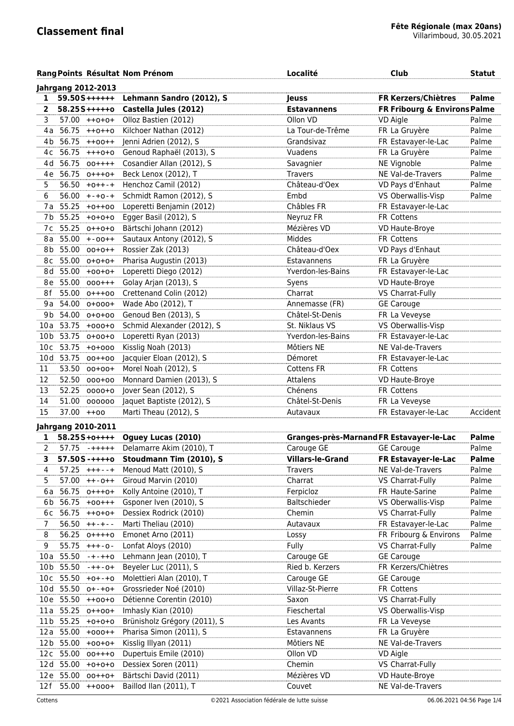|                 |           |                           | Rang Points Résultat Nom Prénom            | Localité                                 | <b>Club</b>                  | <b>Statut</b> |
|-----------------|-----------|---------------------------|--------------------------------------------|------------------------------------------|------------------------------|---------------|
|                 |           | <b>Jahrgang 2012-2013</b> |                                            |                                          |                              |               |
| 1               |           | $59.50S$ ++++++           | Lehmann Sandro (2012), S                   | <b>Jeuss</b>                             | <b>FR Kerzers/Chiètres</b>   | <b>Palme</b>  |
| 2               |           | $58.255$ +++++0           | Castella Jules (2012)                      | <b>Estavannens</b>                       | FR Fribourg & Environs Palme |               |
| 3               |           | 57.00 ++0+0+              | Olloz Bastien (2012)                       | Ollon VD                                 | VD Aigle                     | Palme         |
| 4 a             | 56.75     | $++0++0$                  | Kilchoer Nathan (2012)                     | La Tour-de-Trême                         | FR La Gruyère                | Palme         |
| 4b              | 56.75     | $++00++$                  | Jenni Adrien (2012), S                     | Grandsivaz                               | FR Estavayer-le-Lac          | Palme         |
| 4с              | 56.75     | $+++0+0$                  | Genoud Raphaël (2013), S                   | Vuadens                                  | FR La Gruyère                | Palme         |
| 4d              | 56.75     | $00+++$                   | Cosandier Allan (2012), S                  | Savagnier                                | NE Vignoble                  | Palme         |
|                 | 4e 56.75  | $0$ +++0+                 | Beck Lenox (2012), T                       | <b>Travers</b>                           | NE Val-de-Travers            | Palme         |
| 5.              |           | $56.50 + 0++-+$           | Henchoz Camil (2012)                       | Château-d'Oex                            | VD Pays d'Enhaut             | Palme         |
| 6               |           | $56.00 + - +0 - +$        | Schmidt Ramon (2012), S                    | Embd                                     | VS Oberwallis-Visp           | Palme         |
|                 | 7a 55.25  | $+0++00$                  | Loperetti Benjamin (2012)                  | Châbles FR                               | FR Estavayer-le-Lac          |               |
| 7b              | 55.25     | $+0+0+0$                  | Egger Basil (2012), S                      | Neyruz FR                                | FR Cottens                   |               |
| 7 c             | 55.25     | $0++0+0$                  | Bärtschi Johann (2012)                     | Mézières VD                              | VD Haute-Broye               |               |
|                 | 8a 55.00  | $+ -00+ +$                | Sautaux Antony (2012), S                   | Middes                                   | FR Cottens                   |               |
|                 | 8b 55.00  | $00+0++$                  | Rossier Zak (2013)                         | Château-d'Oex                            | VD Pays d'Enhaut             |               |
|                 | 8c 55.00  | $0+0+0+$                  | Pharisa Augustin (2013)                    | Estavannens                              | FR La Gruyère                |               |
|                 | 8d 55.00  | $+00+0+$                  | Loperetti Diego (2012)                     | Yverdon-les-Bains                        | FR Estavayer-le-Lac          |               |
| 8e              | 55.00     | $000++$                   | Golay Arjan (2013), S                      | Syens                                    | VD Haute-Broye               |               |
| 8f              |           | 55.00 0+++00              | Crettenand Colin (2012)                    | Charrat                                  | VS Charrat-Fully             |               |
|                 |           | 9a 54.00 o+ooo+           | Wade Abo (2012), T                         | Annemasse (FR)                           | <b>GE Carouge</b>            |               |
|                 |           | 9b 54.00 0+0+00           | Genoud Ben (2013), S                       | Châtel-St-Denis                          | FR La Veveyse                |               |
|                 | 10a 53.75 | $+000+0$                  | Schmid Alexander (2012), S                 | St. Niklaus VS                           | VS Oberwallis-Visp           |               |
| 10 <sub>b</sub> | 53.75     | $0+00+0$                  | Loperetti Ryan (2013)                      | Yverdon-les-Bains                        | FR Estavayer-le-Lac          |               |
| 10 <sub>c</sub> | 53.75     | $+0+000$                  | Kisslig Noah (2013)                        | Môtiers NE                               | NE Val-de-Travers            |               |
|                 | 10d 53.75 | $00++00$                  | Jacquier Eloan (2012), S                   | Démoret                                  | FR Estavayer-le-Lac          |               |
| 11              | 53.50     | $00+00+$                  | Morel Noah (2012), S                       | <b>Cottens FR</b>                        | FR Cottens                   |               |
| 12              | 52.50     | 000+00                    | Monnard Damien (2013), S                   | Attalens                                 | VD Haute-Broye               |               |
| 13              | 52.25     |                           | Jover Sean (2012), S                       | Chénens                                  | FR Cottens                   |               |
|                 | 51.00     | $0000+0$                  |                                            | Châtel-St-Denis                          |                              |               |
| 14              |           | 000000                    | Jaquet Baptiste (2012), S                  |                                          | FR La Veveyse                |               |
| 15              |           | $37.00 + +00$             | Marti Theau (2012), S                      | Autavaux                                 | FR Estavayer-le-Lac          | Accident      |
|                 |           | <b>Jahrgang 2010-2011</b> |                                            |                                          |                              |               |
| 1               |           | $58.255 + 0 + + + +$      | Oguey Lucas (2010)                         | Granges-près-Marnand FR Estavayer-le-Lac |                              | <b>Palme</b>  |
| $\mathbf{2}$    |           |                           | 57.75 - + + + + + Delamarre Akim (2010), T | Carouge GE                               | <b>GE Carouge</b>            | Palme         |
| 3               |           |                           | 57.50S-++++0 Stoudmann Tim (2010), S       | <b>Villars-le-Grand</b>                  | FR Estavayer-le-Lac          | <b>Palme</b>  |
| 4               | 57.25     | $+++--+$                  | Menoud Matt (2010), S                      | <b>Travers</b>                           | NE Val-de-Travers            | Palme         |
| 5               | 57.00     | $++-0++$                  | Giroud Marvin (2010)                       | Charrat                                  | VS Charrat-Fully             | Palme         |
| 6 a             | 56.75     | $0$ +++0+                 | Kolly Antoine (2010), T                    | Ferpicloz                                | FR Haute-Sarine              | Palme         |
| 6b              | 56.75     | $+00++$                   | Gsponer Iven (2010), S                     | Baltschieder                             | VS Oberwallis-Visp           | Palme         |
| 6c              | 56.75     | $++0+0+$                  | Dessiex Rodrick (2010)                     | Chemin                                   | VS Charrat-Fully             | Palme         |
| 7               | 56.50     | $++-+-$                   | Marti Theliau (2010)                       | Autavaux                                 | FR Estavayer-le-Lac          | Palme         |
| 8               | 56.25     | $0$ ++++0                 | Emonet Arno (2011)                         | Lossy                                    | FR Fribourg & Environs       | Palme         |
| 9               | 55.75     | $+++-0-$                  | Lonfat Aloys (2010)                        | Fully                                    | VS Charrat-Fully             | Palme         |
| 10 a            | 55.50     | $-+ - + + 0$              | Lehmann Jean (2010), T                     | Carouge GE                               | <b>GE Carouge</b>            |               |
|                 | 10b 55.50 | $-++-0+$                  | Beyeler Luc (2011), S                      | Ried b. Kerzers                          | FR Kerzers/Chiètres          |               |
|                 |           | $10c$ 55.50 +0+-+0        | Molettieri Alan (2010), T                  | Carouge GE                               | <b>GE Carouge</b>            |               |
|                 |           | 10d 55.50 o+-+o+          | Grossrieder Noé (2010)                     | Villaz-St-Pierre                         | FR Cottens                   |               |
|                 |           | 10e 55.50 ++00+0          | Détienne Corentin (2010)                   | Saxon                                    | VS Charrat-Fully             |               |
|                 | 11a 55.25 | $0 + +00 +$               | Imhasly Kian (2010)                        | Fieschertal                              | VS Oberwallis-Visp           |               |
|                 | 11b 55.25 | $+0+0+0$                  | Brünisholz Grégory (2011), S               | Les Avants                               | FR La Veveyse                |               |
|                 | 12a 55.00 | $+000++$                  | Pharisa Simon (2011), S                    | Estavannens                              | FR La Gruyère                |               |
|                 | 12b 55.00 | $+00+0+$                  | Kisslig Illyan (2011)                      | Môtiers NE                               | NE Val-de-Travers            |               |
|                 | 12c 55.00 | $00 + + +0$               | Dupertuis Emile (2010)                     | Ollon VD                                 | <b>VD Aigle</b>              |               |
|                 | 12d 55.00 | $+0+0+0$                  | Dessiex Soren (2011)                       | Chemin                                   | VS Charrat-Fully             |               |
|                 | 12e 55.00 | $00++0+$                  | Bärtschi David (2011)                      | Mézières VD                              | VD Haute-Broye               |               |
|                 |           | 12f 55.00 ++000+          | Baillod Ilan (2011), T                     | Couvet                                   | NE Val-de-Travers            |               |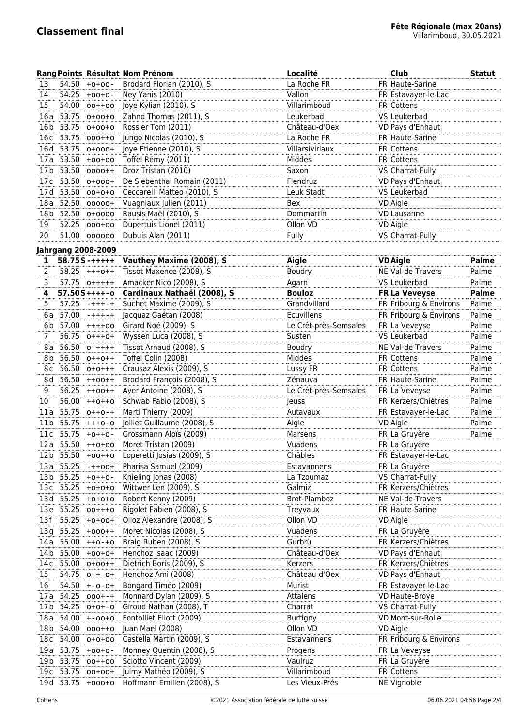|                 |           |                           | Rang Points Résultat Nom Prénom             | Localité              | Club                                 | <b>Statut</b> |
|-----------------|-----------|---------------------------|---------------------------------------------|-----------------------|--------------------------------------|---------------|
| 13              | 54.50     | $+0+00-$                  | Brodard Florian (2010), S                   | La Roche FR           | FR Haute-Sarine                      |               |
| 14              | 54.25     | $+00+0-$                  | Ney Yanis (2010)                            | Vallon                | FR Estavayer-le-Lac                  |               |
| 15              | 54.00     | $00++00$                  | Joye Kylian (2010), S                       | Villarimboud          | FR Cottens                           |               |
| 16 a            | 53.75     | $0+00+0$                  | Zahnd Thomas (2011), S                      | Leukerbad             | VS Leukerbad                         |               |
| 16 <sub>b</sub> | 53.75     | $0+00+0$                  | Rossier Tom (2011)                          | Château-d'Oex         | VD Pays d'Enhaut                     |               |
| 16c             | 53.75     | $000++0$                  | Jungo Nicolas (2010), S                     | La Roche FR           | FR Haute-Sarine                      |               |
| 16 d            | 53.75     | $0+000+$                  | Joye Etienne (2010), S                      | Villarsiviriaux       | <b>FR Cottens</b>                    |               |
|                 |           | 17a 53.50 +00+00          | Toffel Rémy (2011)                          | Middes                | FR Cottens                           |               |
|                 |           | 17b 53.50 0000++          | Droz Tristan (2010)                         | Saxon                 | VS Charrat-Fully                     |               |
|                 |           | 17c 53.50 o+ooo+          | De Siebenthal Romain (2011)                 | Flendruz              | VD Pays d'Enhaut                     |               |
|                 |           | 17d 53.50 00+0+0          | Ceccarelli Matteo (2010), S                 | Leuk Stadt            | VS Leukerbad                         |               |
| 18a             | 52.50     | 00000+                    | Vuagniaux Julien (2011)                     | Bex                   | VD Aigle                             |               |
| 18 b            |           | 52.50 0+0000              | Rausis Maël (2010), S                       | Dommartin             | <b>VD Lausanne</b>                   |               |
| 19              | 52.25     | 000+00                    | Dupertuis Lionel (2011)                     | Ollon VD              | <b>VD Aigle</b>                      |               |
| 20              |           | 51.00 000000              | Dubuis Alan (2011)                          | Fully                 | VS Charrat-Fully                     |               |
|                 |           |                           |                                             |                       |                                      |               |
|                 |           | <b>Jahrgang 2008-2009</b> |                                             |                       |                                      |               |
| 1               |           | $58.75S - + + + + +$      | Vauthey Maxime (2008), S                    | Aigle                 | <b>VD</b> Aigle<br>NE Val-de-Travers | <b>Palme</b>  |
| 2               |           | $58.25$ +++0++            | Tissot Maxence (2008), S                    | <b>Boudry</b>         |                                      | Palme         |
| 3               |           | 57.75 0+++++              | Amacker Nico (2008), S                      | Agarn                 | VS Leukerbad                         | Palme         |
| 4               |           | $57.50S++++-o$            | Cardinaux Nathaël (2008), S                 | <b>Bouloz</b>         | <b>FR La Veveyse</b>                 | <b>Palme</b>  |
| 5               |           | $57.25$ -+++-+            | Suchet Maxime (2009), S                     | Grandvillard          | FR Fribourg & Environs               | Palme         |
| 6a              |           | $57.00$ -+++-+            | Jacquaz Gaëtan (2008)                       | Ecuvillens            | FR Fribourg & Environs               | Palme         |
|                 |           | 6b 57.00 ++++00           | Girard Noé (2009), S                        | Le Crêt-près-Semsales | FR La Veveyse                        | Palme         |
| 7               |           | 56.75 0+++0+              | Wyssen Luca (2008), S                       | Susten                | VS Leukerbad                         | Palme         |
| 8 a             |           | $56.50$ $0-++++$          | Tissot Arnaud (2008), S                     | Boudry                | NE Val-de-Travers                    | Palme         |
| 8b              |           | 56.50 0++0++              | Toffel Colin (2008)                         | Middes                | FR Cottens                           | Palme         |
| 8c              | 56.50     | $0+0+++$                  | Crausaz Alexis (2009), S                    | Lussy FR              | FR Cottens                           | Palme         |
|                 | 8d 56.50  | $++00++$                  | Brodard François (2008), S                  | Zénauva               | FR Haute-Sarine                      | Palme         |
| 9               | 56.25     | $++00++$                  | Ayer Antoine (2008), S                      | Le Crêt-près-Semsales | FR La Veveyse                        | Palme         |
| 10              | 56.00     | $++0++0$                  | Schwab Fabio (2008), S                      | Jeuss                 | FR Kerzers/Chiètres                  | Palme         |
| 11 a            | 55.75     | $0 + + 0 - +$             | Marti Thierry (2009)                        | Autavaux              | FR Estavayer-le-Lac                  | Palme         |
| 11b             | 55.75     | $+++0-0$                  | Jolliet Guillaume (2008), S                 | Aigle                 | VD Aigle                             | Palme         |
|                 |           | $11c$ 55.75 +0++0-        | Grossmann Aloïs (2009)                      | Marsens               | FR La Gruyère                        | Palme         |
|                 |           | $12a$ 55.50 $++0+00$      | Moret Tristan (2009)                        | Vuadens               | FR La Gruyère                        |               |
|                 |           |                           | 12b 55.50 +00++0 Loperetti Josias (2009), S | Châbles               | FR Estavayer-le-Lac                  |               |
|                 |           |                           | 13a 55.25 - + + 00 + Pharisa Samuel (2009)  | Estavannens           | FR La Gruyère                        |               |
|                 | 13b 55.25 | $+0++0-$                  | Knieling Jonas (2008)                       | La Tzoumaz            | VS Charrat-Fully                     |               |
|                 | 13c 55.25 | $+0+0+0$                  | Wittwer Len (2009), S                       | Galmiz                | FR Kerzers/Chiètres                  |               |
|                 | 13d 55.25 | $+0+0+0$                  | Robert Kenny (2009)                         | Brot-Plamboz          | NE Val-de-Travers                    |               |
|                 | 13e 55.25 | $00 + + +0$               | Rigolet Fabien (2008), S                    | Treyvaux              | FR Haute-Sarine                      |               |
| 13 f            | 55.25     | $+0+00+$                  | Olloz Alexandre (2008), S                   | Ollon VD              | VD Aigle                             |               |
| 13g             | 55.25     | $+000++$                  | Moret Nicolas (2008), S                     | Vuadens               | FR La Gruyère                        |               |
|                 | 14a 55.00 | $++0-+0$                  | Braig Ruben (2008), S                       | Gurbrü                | FR Kerzers/Chiètres                  |               |
|                 |           | 14b 55.00 +00+0+          | Henchoz Isaac (2009)                        | Château-d'Oex         | VD Pays d'Enhaut                     |               |
|                 |           | 14c 55.00 o+oo++          | Dietrich Boris (2009), S                    | Kerzers               | FR Kerzers/Chiètres                  |               |
| 15              |           | $54.75$ $0-+-0+$          | Henchoz Ami (2008)                          | Château-d'Oex         | VD Pays d'Enhaut                     |               |
| 16              |           | $54.50 + -0 - 0 +$        | Bongard Timéo (2009)                        | Murist                | FR Estavayer-le-Lac                  |               |
| 17 a            | 54.25     | $000 + - +$               | Monnard Dylan (2009), S                     | Attalens              | VD Haute-Broye                       |               |
| 17 <sub>b</sub> | 54.25     | $0+0+0$                   | Giroud Nathan (2008), T                     | Charrat               | VS Charrat-Fully                     |               |
| 18 a            | 54.00     | $+ -00 + 0$               | Fontolliet Eliott (2009)                    | <b>Burtigny</b>       | VD Mont-sur-Rolle                    |               |
| 18 b            | 54.00     | 000++0                    | Juan Mael (2008)                            | Ollon VD              | VD Aigle                             |               |
| 18 c            | 54.00     | $0+0+00$                  | Castella Martin (2009), S                   | Estavannens           | FR Fribourg & Environs               |               |
|                 | 19a 53.75 | $+00+0-$                  | Monney Quentin (2008), S                    | Progens               | FR La Veveyse                        |               |
|                 | 19b 53.75 | $00++00$                  | Sciotto Vincent (2009)                      | Vaulruz               | FR La Gruyère                        |               |
|                 |           | 19c 53.75 00+00+          | Julmy Mathéo (2009), S                      | Villarimboud          | FR Cottens                           |               |
|                 |           | 19d 53.75 +000+0          | Hoffmann Emilien (2008), S                  | Les Vieux-Prés        | NE Vignoble                          |               |
|                 |           |                           |                                             |                       |                                      |               |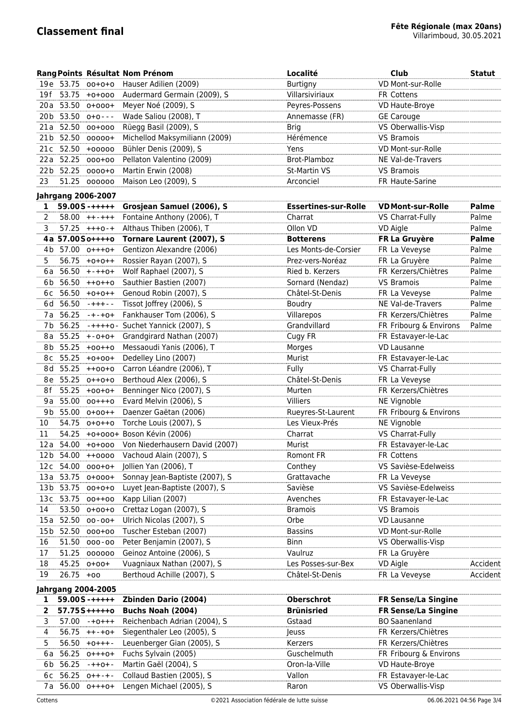|                       |                           |                           | Rang Points Résultat Nom Prénom                                 | Localité                    | <b>Club</b>                           | <b>Statut</b> |  |  |  |
|-----------------------|---------------------------|---------------------------|-----------------------------------------------------------------|-----------------------------|---------------------------------------|---------------|--|--|--|
|                       | 19e 53.75                 | $00+0+0$                  | Hauser Adilien (2009)                                           | <b>Burtigny</b>             | VD Mont-sur-Rolle                     |               |  |  |  |
| 19f                   | 53.75                     | $+0+000$                  | Audermard Germain (2009), S                                     | Villarsiviriaux             | FR Cottens                            |               |  |  |  |
|                       |                           | 20a 53.50 o+ooo+          | Meyer Noé (2009), S                                             | Peyres-Possens              | VD Haute-Broye                        |               |  |  |  |
|                       |                           | 20b 53.50 o+o---          | Wade Saliou (2008), T                                           | Annemasse (FR)              | <b>GE Carouge</b>                     |               |  |  |  |
|                       |                           | 21a 52.50 00+000          | Rüegg Basil (2009), S                                           | <b>Brig</b>                 | VS Oberwallis-Visp                    |               |  |  |  |
| 21 <sub>b</sub>       |                           | 52.50 00000+              | Michellod Maksymiliann (2009)                                   | Hérémence                   | <b>VS Bramois</b>                     |               |  |  |  |
| 21c                   |                           | 52.50 +00000              | Bühler Denis (2009), S                                          | Yens                        | VD Mont-sur-Rolle                     |               |  |  |  |
| 22a                   | 52.25                     | 000+00                    | Pellaton Valentino (2009)                                       | Brot-Plamboz                | NE Val-de-Travers                     |               |  |  |  |
|                       | 22b 52.25                 | $0000+0$                  | Martin Erwin (2008)                                             | St-Martin VS                | VS Bramois                            |               |  |  |  |
| 23                    | 51.25                     | 000000                    | Maison Leo (2009), S                                            | Arconciel                   | FR Haute-Sarine                       |               |  |  |  |
|                       |                           | <b>Jahrgang 2006-2007</b> |                                                                 |                             |                                       |               |  |  |  |
| 1                     |                           | $59.00S - + + + + +$      | Grosjean Samuel (2006), S                                       | <b>Essertines-sur-Rolle</b> | <b>VD Mont-sur-Rolle</b>              | <b>Palme</b>  |  |  |  |
| 2                     |                           | $58.00 + + - + + +$       | Fontaine Anthony (2006), T                                      | Charrat                     | VS Charrat-Fully                      | Palme         |  |  |  |
| 3                     |                           | $57.25$ +++0-+            | Althaus Thiben (2006), T                                        | Ollon VD                    | <b>VD Aigle</b>                       | Palme         |  |  |  |
|                       |                           | 4a 57.00So++++o           | Tornare Laurent (2007), S                                       | <b>Botterens</b>            | FR La Gruyère                         | <b>Palme</b>  |  |  |  |
|                       |                           | 4b 57.00 o+++o+           | Gentizon Alexandre (2006)                                       | Les Monts-de-Corsier        | FR La Veveyse                         | Palme         |  |  |  |
| 5                     |                           | $56.75 + 0+0++$           | Rossier Rayan (2007), S                                         | Prez-vers-Noréaz            | FR La Gruyère                         | Palme         |  |  |  |
|                       |                           | 6a $56.50 + + + +0+$      | Wolf Raphael (2007), S                                          | Ried b. Kerzers             | FR Kerzers/Chiètres                   | Palme         |  |  |  |
|                       |                           | 6b 56.50 ++o++o           | Sauthier Bastien (2007)                                         | Sornard (Nendaz)            | <b>VS Bramois</b>                     | Palme         |  |  |  |
| 6с                    |                           | $56.50 +0+0++$            | Genoud Robin (2007), S                                          | Châtel-St-Denis             | FR La Veveyse                         | Palme         |  |  |  |
| 6d                    | 56.50                     | $-+++- -$                 | Tissot Joffrey (2006), S                                        | Boudry                      | NE Val-de-Travers                     | Palme         |  |  |  |
|                       | 7a 56.25                  | $-+ - +0+$                | Fankhauser Tom (2006), S                                        | Villarepos                  | FR Kerzers/Chiètres                   | Palme         |  |  |  |
|                       | 7b 56.25                  |                           | -++++o - Suchet Yannick (2007), S                               | Grandvillard                | FR Fribourg & Environs                | Palme         |  |  |  |
|                       | 8a 55.25                  | $+ -0 + 0 +$              | Grandgirard Nathan (2007)                                       | Cugy FR                     | FR Estavayer-le-Lac                   |               |  |  |  |
| 8 b                   | 55.25                     | $+00+0$                   | Messaoudi Yanis (2006), T                                       | Morges                      | VD Lausanne                           |               |  |  |  |
| 8 c                   | 55.25                     | $+0+00+$                  | Dedelley Lino (2007)                                            | Murist                      | FR Estavayer-le-Lac                   |               |  |  |  |
| 8 d                   | 55.25                     | $++00+0$                  | Carron Léandre (2006), T                                        | Fully                       | VS Charrat-Fully                      |               |  |  |  |
|                       | 8e 55.25                  | $0+0+0$                   | Berthoud Alex (2006), S                                         | Châtel-St-Denis             | FR La Veveyse                         |               |  |  |  |
| 8f                    |                           | $55.25 +00+0+$            | Benninger Nico (2007), S                                        | Murten                      | FR Kerzers/Chiètres                   |               |  |  |  |
| 9 a                   |                           | 55.00 00+++0              | Evard Melvin (2006), S                                          | <b>Villiers</b>             | NE Vignoble                           |               |  |  |  |
| 9b                    |                           | 55.00 0+00++              | Daenzer Gaëtan (2006)                                           | Rueyres-St-Laurent          |                                       |               |  |  |  |
| 10                    | 54.75                     | $0+0+0$                   | Torche Louis (2007), S                                          | Les Vieux-Prés              | FR Fribourg & Environs<br>NE Vignoble |               |  |  |  |
| 11                    | 54.25                     |                           | +0+000+ Boson Kévin (2006)                                      | Charrat                     | VS Charrat-Fully                      |               |  |  |  |
|                       |                           |                           | 12a 54.00 +0+000 Von Niederhausern David (2007)                 | Murist                      | FR Estavayer-le-Lac                   |               |  |  |  |
|                       |                           | 12b 54.00 ++0000          |                                                                 |                             |                                       |               |  |  |  |
| 12c                   | 54.00                     |                           | Vachoud Alain (2007), S<br>Jollien Yan (2006), T                | ROMONT FR                   | FR Cottens<br>VS Savièse-Edelweiss    |               |  |  |  |
|                       | 53.75                     | $000 + 0 +$               |                                                                 | Conthey                     |                                       |               |  |  |  |
| 13a                   | 13b 53.75                 | $0+000+$                  | Sonnay Jean-Baptiste (2007), S<br>Luyet Jean-Baptiste (2007), S | Grattavache<br>Savièse      | FR La Veveyse<br>VS Savièse-Edelweiss |               |  |  |  |
|                       | 13c 53.75                 | $00+0+0$                  | Kapp Lilian (2007)                                              |                             |                                       |               |  |  |  |
|                       |                           | $00++00$<br>53.50 0+00+0  | Crettaz Logan (2007), S                                         | Avenches<br><b>Bramois</b>  | FR Estavayer-le-Lac<br>VS Bramois     |               |  |  |  |
| 14                    | 52.50                     |                           | Ulrich Nicolas (2007), S                                        | Orbe                        |                                       |               |  |  |  |
| 15a                   | 52.50                     | $00 - 00 +$               | Tuscher Esteban (2007)                                          |                             | VD Lausanne<br>VD Mont-sur-Rolle      |               |  |  |  |
| 15 <sub>b</sub><br>16 | 51.50                     | 000+00                    | Peter Benjamin (2007), S                                        | <b>Bassins</b><br>Binn      | VS Oberwallis-Visp                    |               |  |  |  |
|                       |                           | $000 - 00$                |                                                                 | Vaulruz                     |                                       |               |  |  |  |
| 17                    | 51.25<br>45.25            | 000000                    | Geinoz Antoine (2006), S<br>Vuagniaux Nathan (2007), S          | Les Posses-sur-Bex          | FR La Gruyère<br>VD Aigle             | Accident      |  |  |  |
| 18                    |                           | $0+00+$                   |                                                                 |                             |                                       |               |  |  |  |
| 19                    | 26.75                     | $+00$                     | Berthoud Achille (2007), S                                      | Châtel-St-Denis             | FR La Veveyse                         | Accident      |  |  |  |
|                       | <b>Jahrgang 2004-2005</b> |                           |                                                                 |                             |                                       |               |  |  |  |
| 1                     |                           | $59.005 - + + + + +$      | <b>Zbinden Dario (2004)</b>                                     | <b>Oberschrot</b>           | <b>FR Sense/La Singine</b>            |               |  |  |  |
| 2                     |                           | $57.75S$ +++++0           | Buchs Noah (2004)                                               | <b>Brünisried</b>           | <b>FR Sense/La Singine</b>            |               |  |  |  |
| 3                     | 57.00                     | $-+0+++$                  | Reichenbach Adrian (2004), S                                    | Gstaad                      | <b>BO</b> Saanenland                  |               |  |  |  |
| 4                     | 56.75                     | $++-+0+$                  | Siegenthaler Leo (2005), S                                      | Jeuss                       | FR Kerzers/Chiètres                   |               |  |  |  |
| 5                     | 56.50                     | $+0+++-$                  | Leuenberger Gian (2005), S                                      | Kerzers                     | FR Kerzers/Chiètres                   |               |  |  |  |
| 6 a                   | 56.25                     | $0$ +++0+                 | Fuchs Sylvain (2005)                                            | Guschelmuth                 | FR Fribourg & Environs                |               |  |  |  |
| 6b                    | 56.25                     | $-++0+ -$                 | Martin Gaël (2004), S                                           | Oron-la-Ville               | VD Haute-Broye                        |               |  |  |  |
| 6 c                   | 56.25                     | $0++-+-$                  | Collaud Bastien (2005), S                                       | Vallon                      | FR Estavayer-le-Lac                   |               |  |  |  |
| 7 a                   | 56.00                     | $0$ +++0+                 | Lengen Michael (2005), S                                        | Raron                       | VS Oberwallis-Visp                    |               |  |  |  |